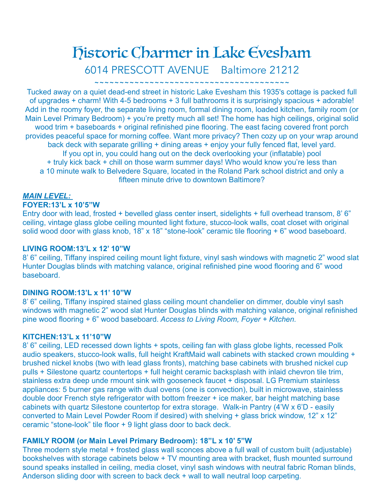# Historic Charmer in Lake Evesham 6014 PRESCOTT AVENUE Baltimore 21212

~~~~~~~~~~~~~~~~~~~~~~~~~~~~~~~~~~

Tucked away on a quiet dead-end street in historic Lake Evesham this 1935's cottage is packed full of upgrades + charm! With 4-5 bedrooms + 3 full bathrooms it is surprisingly spacious + adorable! Add in the roomy foyer, the separate living room, formal dining room, loaded kitchen, family room (or Main Level Primary Bedroom) + you're pretty much all set! The home has high ceilings, original solid wood trim + baseboards + original refinished pine flooring. The east facing covered front porch provides peaceful space for morning coffee. Want more privacy? Then cozy up on your wrap around back deck with separate grilling + dining areas + enjoy your fully fenced flat, level yard. If you opt in, you could hang out on the deck overlooking your (inflatable) pool + truly kick back + chill on those warm summer days! Who would know you're less than a 10 minute walk to Belvedere Square, located in the Roland Park school district and only a fifteen minute drive to downtown Baltimore?

#### *MAIN LEVEL:*

# **FOYER:13'L x 10'5"W**

Entry door with lead, frosted + bevelled glass center insert, sidelights + full overhead transom, 8' 6" ceiling, vintage glass globe ceiling mounted light fixture, stucco-look walls, coat closet with original solid wood door with glass knob, 18" x 18" "stone-look" ceramic tile flooring + 6" wood baseboard.

# **LIVING ROOM:13'L x 12' 10"W**

8' 6" ceiling, Tiffany inspired ceiling mount light fixture, vinyl sash windows with magnetic 2" wood slat Hunter Douglas blinds with matching valance, original refinished pine wood flooring and 6" wood baseboard.

#### **DINING ROOM:13'L x 11' 10"W**

8' 6" ceiling, Tiffany inspired stained glass ceiling mount chandelier on dimmer, double vinyl sash windows with magnetic 2" wood slat Hunter Douglas blinds with matching valance, original refinished pine wood flooring + 6" wood baseboard. *Access to Living Room, Foyer + Kitchen.* 

#### **KITCHEN:13'L x 11'10"W**

8' 6" ceiling, LED recessed down lights + spots, ceiling fan with glass globe lights, recessed Polk audio speakers, stucco-look walls, full height KraftMaid wall cabinets with stacked crown moulding + brushed nickel knobs (two with lead glass fronts), matching base cabinets with brushed nickel cup pulls + Silestone quartz countertops + full height ceramic backsplash with inlaid chevron tile trim, stainless extra deep unde rmount sink with gooseneck faucet + disposal. LG Premium stainless appliances: 5 burner gas range with dual ovens (one is convection), built in microwave, stainless double door French style refrigerator with bottom freezer + ice maker, bar height matching base cabinets with quartz Silestone countertop for extra storage. Walk-in Pantry (4'W x 6'D - easily converted to Main Level Powder Room if desired) with shelving + glass brick window, 12" x 12" ceramic "stone-look" tile floor + 9 light glass door to back deck.

#### **FAMILY ROOM (or Main Level Primary Bedroom): 18"L x 10' 5"W**

Three modern style metal + frosted glass wall sconces above a full wall of custom built (adjustable) bookshelves with storage cabinets below + TV mounting area with bracket, flush mounted surround sound speaks installed in ceiling, media closet, vinyl sash windows with neutral fabric Roman blinds, Anderson sliding door with screen to back deck + wall to wall neutral loop carpeting.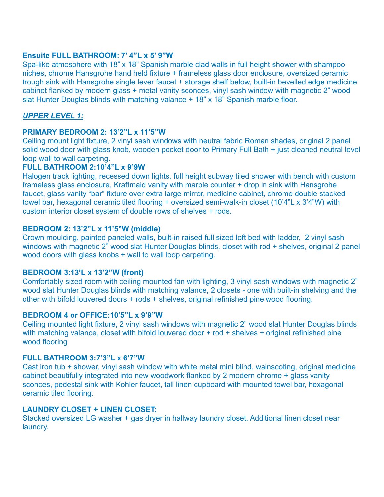# **Ensuite FULL BATHROOM: 7' 4"L x 5' 9"W**

Spa-like atmosphere with 18" x 18" Spanish marble clad walls in full height shower with shampoo niches, chrome Hansgrohe hand held fixture + frameless glass door enclosure, oversized ceramic trough sink with Hansgrohe single lever faucet + storage shelf below, built-in bevelled edge medicine cabinet flanked by modern glass + metal vanity sconces, vinyl sash window with magnetic 2" wood slat Hunter Douglas blinds with matching valance + 18" x 18" Spanish marble floor.

# *UPPER LEVEL 1:*

# **PRIMARY BEDROOM 2: 13'2"L x 11'5"W**

Ceiling mount light fixture, 2 vinyl sash windows with neutral fabric Roman shades, original 2 panel solid wood door with glass knob, wooden pocket door to Primary Full Bath + just cleaned neutral level loop wall to wall carpeting.

# **FULL BATHROOM 2:10'4"L x 9'9W**

Halogen track lighting, recessed down lights, full height subway tiled shower with bench with custom frameless glass enclosure, Kraftmaid vanity with marble counter + drop in sink with Hansgrohe faucet, glass vanity "bar" fixture over extra large mirror, medicine cabinet, chrome double stacked towel bar, hexagonal ceramic tiled flooring + oversized semi-walk-in closet (10'4"L x 3'4"W) with custom interior closet system of double rows of shelves + rods.

# **BEDROOM 2: 13'2"L x 11'5"W (middle)**

Crown moulding, painted paneled walls, built-in raised full sized loft bed with ladder, 2 vinyl sash windows with magnetic 2" wood slat Hunter Douglas blinds, closet with rod + shelves, original 2 panel wood doors with glass knobs + wall to wall loop carpeting.

# **BEDROOM 3:13'L x 13'2"W (front)**

Comfortably sized room with ceiling mounted fan with lighting, 3 vinyl sash windows with magnetic 2" wood slat Hunter Douglas blinds with matching valance, 2 closets - one with built-in shelving and the other with bifold louvered doors + rods + shelves, original refinished pine wood flooring.

# **BEDROOM 4 or OFFICE:10'5"L x 9'9"W**

Ceiling mounted light fixture, 2 vinyl sash windows with magnetic 2" wood slat Hunter Douglas blinds with matching valance, closet with bifold louvered door + rod + shelves + original refinished pine wood flooring

# **FULL BATHROOM 3:7'3"L x 6'7"W**

Cast iron tub + shower, vinyl sash window with white metal mini blind, wainscoting, original medicine cabinet beautifully integrated into new woodwork flanked by 2 modern chrome + glass vanity sconces, pedestal sink with Kohler faucet, tall linen cupboard with mounted towel bar, hexagonal ceramic tiled flooring.

# **LAUNDRY CLOSET + LINEN CLOSET:**

Stacked oversized LG washer + gas dryer in hallway laundry closet. Additional linen closet near laundry.